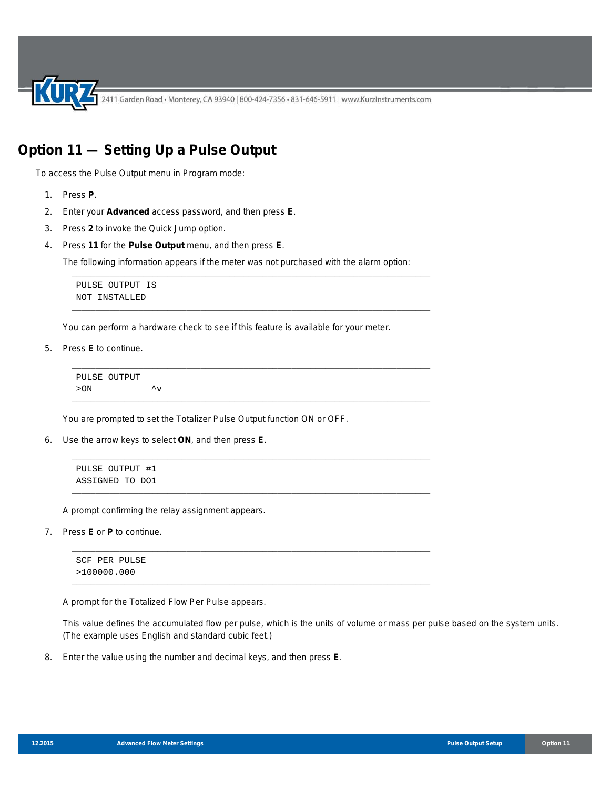2411 Garden Road • Monterey, CA 93940 | 800-424-7356 • 831-646-5911 | www.KurzInstruments.com

## **Option 11 — Setting Up a Pulse Output**

To access the Pulse Output menu in Program mode:

- 1. Press **P**.
- 2. Enter your **Advanced** access password, and then press **E**.
- 3. Press **2** to invoke the Quick Jump option.
- 4. Press **11** for the **Pulse Output** menu, and then press **E**.

The following information appears if the meter was not purchased with the alarm option:

\_\_\_\_\_\_\_\_\_\_\_\_\_\_\_\_\_\_\_\_\_\_\_\_\_\_\_\_\_\_\_\_\_\_\_\_\_\_\_\_\_\_\_\_\_\_\_\_\_\_\_\_\_\_\_\_\_\_\_\_\_\_\_\_\_\_\_\_\_\_\_\_\_\_\_

\_\_\_\_\_\_\_\_\_\_\_\_\_\_\_\_\_\_\_\_\_\_\_\_\_\_\_\_\_\_\_\_\_\_\_\_\_\_\_\_\_\_\_\_\_\_\_\_\_\_\_\_\_\_\_\_\_\_\_\_\_\_\_\_\_\_\_\_\_\_\_\_\_\_\_

\_\_\_\_\_\_\_\_\_\_\_\_\_\_\_\_\_\_\_\_\_\_\_\_\_\_\_\_\_\_\_\_\_\_\_\_\_\_\_\_\_\_\_\_\_\_\_\_\_\_\_\_\_\_\_\_\_\_\_\_\_\_\_\_\_\_\_\_\_\_\_\_\_\_\_

\_\_\_\_\_\_\_\_\_\_\_\_\_\_\_\_\_\_\_\_\_\_\_\_\_\_\_\_\_\_\_\_\_\_\_\_\_\_\_\_\_\_\_\_\_\_\_\_\_\_\_\_\_\_\_\_\_\_\_\_\_\_\_\_\_\_\_\_\_\_\_\_\_\_\_

\_\_\_\_\_\_\_\_\_\_\_\_\_\_\_\_\_\_\_\_\_\_\_\_\_\_\_\_\_\_\_\_\_\_\_\_\_\_\_\_\_\_\_\_\_\_\_\_\_\_\_\_\_\_\_\_\_\_\_\_\_\_\_\_\_\_\_\_\_\_\_\_\_\_\_

\_\_\_\_\_\_\_\_\_\_\_\_\_\_\_\_\_\_\_\_\_\_\_\_\_\_\_\_\_\_\_\_\_\_\_\_\_\_\_\_\_\_\_\_\_\_\_\_\_\_\_\_\_\_\_\_\_\_\_\_\_\_\_\_\_\_\_\_\_\_\_\_\_\_\_

\_\_\_\_\_\_\_\_\_\_\_\_\_\_\_\_\_\_\_\_\_\_\_\_\_\_\_\_\_\_\_\_\_\_\_\_\_\_\_\_\_\_\_\_\_\_\_\_\_\_\_\_\_\_\_\_\_\_\_\_\_\_\_\_\_\_\_\_\_\_\_\_\_\_\_

\_\_\_\_\_\_\_\_\_\_\_\_\_\_\_\_\_\_\_\_\_\_\_\_\_\_\_\_\_\_\_\_\_\_\_\_\_\_\_\_\_\_\_\_\_\_\_\_\_\_\_\_\_\_\_\_\_\_\_\_\_\_\_\_\_\_\_\_\_\_\_\_\_\_\_

```
PULSE OUTPUT IS
NOT INSTALLED
```
You can perform a hardware check to see if this feature is available for your meter.

5. Press **E** to continue.

PULSE OUTPUT  $>$  ON  $\hspace{1.5cm}$   $\hspace{1.5cm}$   $\hspace{1.5cm}$   $\hspace{1.5cm}$   $\hspace{1.5cm}$   $\hspace{1.5cm}$   $\hspace{1.5cm}$   $\hspace{1.5cm}$   $\hspace{1.5cm}$   $\hspace{1.5cm}$   $\hspace{1.5cm}$   $\hspace{1.5cm}$   $\hspace{1.5cm}$ 

You are prompted to set the Totalizer Pulse Output function ON or OFF.

6. Use the arrow keys to select **ON**, and then press **E**.

```
PULSE OUTPUT #1
ASSIGNED TO DO1
```
A prompt confirming the relay assignment appears.

7. Press **E** or **P** to continue.

SCF PER PULSE >100000.000

A prompt for the Totalized Flow Per Pulse appears.

This value defines the accumulated flow per pulse, which is the units of volume or mass per pulse based on the system units. (The example uses English and standard cubic feet.)

8. Enter the value using the number and decimal keys, and then press **E**.